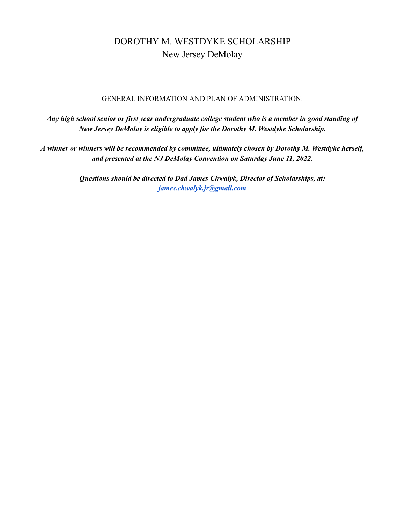# DOROTHY M. WESTDYKE SCHOLARSHIP New Jersey DeMolay

#### GENERAL INFORMATION AND PLAN OF ADMINISTRATION:

Any high school senior or first year undergraduate college student who is a member in good standing of *New Jersey DeMolay is eligible to apply for the Dorothy M. Westdyke Scholarship.*

*A winner or winners will be recommended by committee, ultimately chosen by Dorothy M. Westdyke herself, and presented at the NJ DeMolay Convention on Saturday June 11, 2022.*

> *Questions should be directed to Dad James Chwalyk, Director of Scholarships, at: [james.chwalyk.jr@gmail.com](mailto:james.chwalyk.jr@gmail.com)*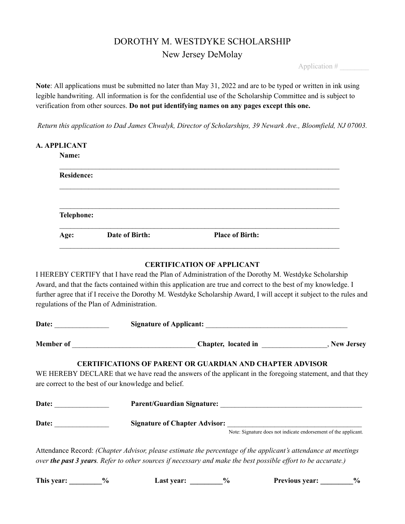# DOROTHY M. WESTDYKE SCHOLARSHIP New Jersey DeMolay

Application # \_\_\_\_\_\_\_\_

**Note**: All applications must be submitted no later than May 31, 2022 and are to be typed or written in ink using legible handwriting. All information is for the confidential use of the Scholarship Committee and is subject to verification from other sources. **Do not put identifying names on any pages except this one.**

*Return this application to Dad James Chwalyk, Director of Scholarships, 39 Newark Ave., Bloomfield, NJ 07003.*

| Name:             |  |  |
|-------------------|--|--|
| <b>Residence:</b> |  |  |
|                   |  |  |
|                   |  |  |
| Telephone:        |  |  |

## **CERTIFICATION OF APPLICANT**

I HEREBY CERTIFY that I have read the Plan of Administration of the Dorothy M. Westdyke Scholarship Award, and that the facts contained within this application are true and correct to the best of my knowledge. I further agree that if I receive the Dorothy M. Westdyke Scholarship Award, I will accept it subject to the rules and regulations of the Plan of Administration.

|                       |                                                                                                                                                                                                                                       | Chapter, located in ___________________, New Jersey             |
|-----------------------|---------------------------------------------------------------------------------------------------------------------------------------------------------------------------------------------------------------------------------------|-----------------------------------------------------------------|
|                       | <b>CERTIFICATIONS OF PARENT OR GUARDIAN AND CHAPTER ADVISOR</b><br>WE HEREBY DECLARE that we have read the answers of the applicant in the foregoing statement, and that they<br>are correct to the best of our knowledge and belief. |                                                                 |
| Date: $\qquad \qquad$ |                                                                                                                                                                                                                                       |                                                                 |
| Date:                 | <b>Signature of Chapter Advisor:</b>                                                                                                                                                                                                  |                                                                 |
|                       |                                                                                                                                                                                                                                       | Note: Signature does not indicate endorsement of the applicant. |
|                       | Attendance Record: (Chapter Advisor, please estimate the percentage of the applicant's attendance at meetings<br>over the past 3 years. Refer to other sources if necessary and make the best possible effort to be accurate.)        |                                                                 |

**This year: \_\_\_\_\_\_\_\_\_% Last year: \_\_\_\_\_\_\_\_\_% Previous year: \_\_\_\_\_\_\_\_\_%**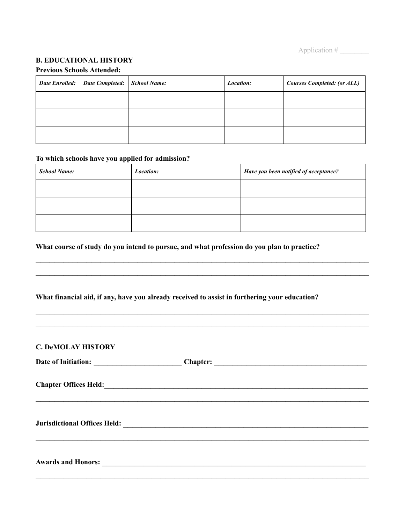Application #

## **B. EDUCATIONAL HISTORY**

|  | Date Enrolled:   Date Completed:   School Name: |  | Location: | <b>Courses Completed: (or ALL)</b> |  |
|--|-------------------------------------------------|--|-----------|------------------------------------|--|
|  |                                                 |  |           |                                    |  |
|  |                                                 |  |           |                                    |  |
|  |                                                 |  |           |                                    |  |

#### **Previous Schools Attended:**

# **To which schools have you applied for admission?**

| <b>School Name:</b> | Location: | Have you been notified of acceptance? |
|---------------------|-----------|---------------------------------------|
|                     |           |                                       |
|                     |           |                                       |
|                     |           |                                       |

 $\mathcal{L}_\mathcal{L} = \mathcal{L}_\mathcal{L} = \mathcal{L}_\mathcal{L} = \mathcal{L}_\mathcal{L} = \mathcal{L}_\mathcal{L} = \mathcal{L}_\mathcal{L} = \mathcal{L}_\mathcal{L} = \mathcal{L}_\mathcal{L} = \mathcal{L}_\mathcal{L} = \mathcal{L}_\mathcal{L} = \mathcal{L}_\mathcal{L} = \mathcal{L}_\mathcal{L} = \mathcal{L}_\mathcal{L} = \mathcal{L}_\mathcal{L} = \mathcal{L}_\mathcal{L} = \mathcal{L}_\mathcal{L} = \mathcal{L}_\mathcal{L}$  $\mathcal{L}_\mathcal{L} = \mathcal{L}_\mathcal{L} = \mathcal{L}_\mathcal{L} = \mathcal{L}_\mathcal{L} = \mathcal{L}_\mathcal{L} = \mathcal{L}_\mathcal{L} = \mathcal{L}_\mathcal{L} = \mathcal{L}_\mathcal{L} = \mathcal{L}_\mathcal{L} = \mathcal{L}_\mathcal{L} = \mathcal{L}_\mathcal{L} = \mathcal{L}_\mathcal{L} = \mathcal{L}_\mathcal{L} = \mathcal{L}_\mathcal{L} = \mathcal{L}_\mathcal{L} = \mathcal{L}_\mathcal{L} = \mathcal{L}_\mathcal{L}$ 

 $\mathcal{L}_\mathcal{L} = \mathcal{L}_\mathcal{L} = \mathcal{L}_\mathcal{L} = \mathcal{L}_\mathcal{L} = \mathcal{L}_\mathcal{L} = \mathcal{L}_\mathcal{L} = \mathcal{L}_\mathcal{L} = \mathcal{L}_\mathcal{L} = \mathcal{L}_\mathcal{L} = \mathcal{L}_\mathcal{L} = \mathcal{L}_\mathcal{L} = \mathcal{L}_\mathcal{L} = \mathcal{L}_\mathcal{L} = \mathcal{L}_\mathcal{L} = \mathcal{L}_\mathcal{L} = \mathcal{L}_\mathcal{L} = \mathcal{L}_\mathcal{L}$  $\mathcal{L}_\mathcal{L} = \mathcal{L}_\mathcal{L} = \mathcal{L}_\mathcal{L} = \mathcal{L}_\mathcal{L} = \mathcal{L}_\mathcal{L} = \mathcal{L}_\mathcal{L} = \mathcal{L}_\mathcal{L} = \mathcal{L}_\mathcal{L} = \mathcal{L}_\mathcal{L} = \mathcal{L}_\mathcal{L} = \mathcal{L}_\mathcal{L} = \mathcal{L}_\mathcal{L} = \mathcal{L}_\mathcal{L} = \mathcal{L}_\mathcal{L} = \mathcal{L}_\mathcal{L} = \mathcal{L}_\mathcal{L} = \mathcal{L}_\mathcal{L}$ 

#### **What course of study do you intend to pursue, and what profession do you plan to practice?**

#### **What financial aid, if any, have you already received to assist in furthering your education?**

# **C. DeMOLAY HISTORY**

| Date of Initiation:                 | <b>Chapter:</b>                                                                                                       |  |
|-------------------------------------|-----------------------------------------------------------------------------------------------------------------------|--|
|                                     |                                                                                                                       |  |
| <b>Chapter Offices Held:</b>        | <u> 1989 - Johann Stoff, amerikansk politiker (d. 1989)</u>                                                           |  |
|                                     |                                                                                                                       |  |
|                                     |                                                                                                                       |  |
|                                     |                                                                                                                       |  |
| <b>Jurisdictional Offices Held:</b> | <u> 1980 - Johann Johann Stein, marwolaethau (b. 1980)</u>                                                            |  |
|                                     |                                                                                                                       |  |
|                                     |                                                                                                                       |  |
|                                     |                                                                                                                       |  |
| <b>Awards and Honors:</b>           | <u> 2000 - Jan James James James James James James James James James James James James James James James James Ja</u> |  |
|                                     |                                                                                                                       |  |